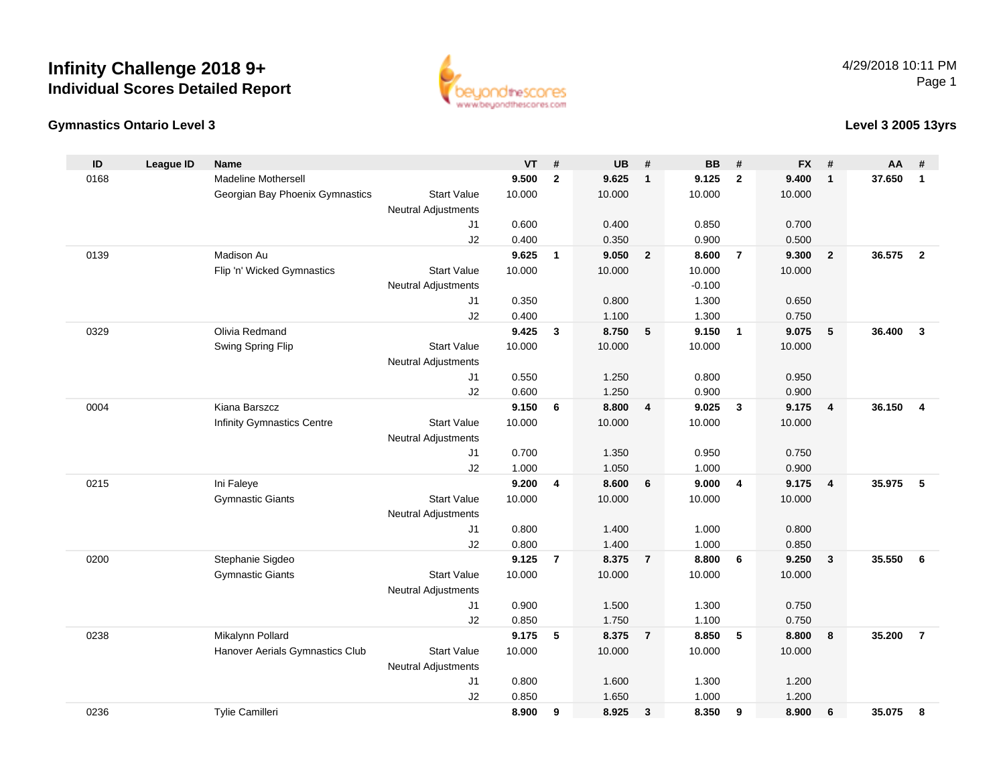



**Level 3 2005 13yrs**

| ID   | <b>League ID</b> | <b>Name</b>                     |                                  | <b>VT</b> | #              | <b>UB</b> | #              | <b>BB</b> | #                       | <b>FX</b> | #              | AA     | #              |
|------|------------------|---------------------------------|----------------------------------|-----------|----------------|-----------|----------------|-----------|-------------------------|-----------|----------------|--------|----------------|
| 0168 |                  | Madeline Mothersell             |                                  | 9.500     | $\mathbf{2}$   | 9.625     | $\overline{1}$ | 9.125     | $\mathbf{2}$            | 9.400     | $\mathbf{1}$   | 37.650 | $\mathbf{1}$   |
|      |                  | Georgian Bay Phoenix Gymnastics | <b>Start Value</b>               | 10.000    |                | 10.000    |                | 10.000    |                         | 10.000    |                |        |                |
|      |                  |                                 | <b>Neutral Adjustments</b>       |           |                |           |                |           |                         |           |                |        |                |
|      |                  |                                 | J1                               | 0.600     |                | 0.400     |                | 0.850     |                         | 0.700     |                |        |                |
|      |                  |                                 | J2                               | 0.400     |                | 0.350     |                | 0.900     |                         | 0.500     |                |        |                |
| 0139 |                  | Madison Au                      |                                  | 9.625     | $\mathbf{1}$   | 9.050     | $\overline{2}$ | 8.600     | $\overline{7}$          | 9.300     | $\overline{2}$ | 36.575 | $\overline{2}$ |
|      |                  | Flip 'n' Wicked Gymnastics      | <b>Start Value</b>               | 10.000    |                | 10.000    |                | 10.000    |                         | 10.000    |                |        |                |
|      |                  |                                 | <b>Neutral Adjustments</b>       |           |                |           |                | $-0.100$  |                         |           |                |        |                |
|      |                  |                                 | J1                               | 0.350     |                | 0.800     |                | 1.300     |                         | 0.650     |                |        |                |
|      |                  |                                 | J2                               | 0.400     |                | 1.100     |                | 1.300     |                         | 0.750     |                |        |                |
| 0329 |                  | Olivia Redmand                  |                                  | 9.425     | 3              | 8.750     | 5              | 9.150     | $\overline{\mathbf{1}}$ | 9.075     | 5              | 36.400 | $\mathbf{3}$   |
|      |                  | Swing Spring Flip               | <b>Start Value</b>               | 10.000    |                | 10.000    |                | 10.000    |                         | 10.000    |                |        |                |
|      |                  |                                 | <b>Neutral Adjustments</b><br>J1 | 0.550     |                | 1.250     |                | 0.800     |                         | 0.950     |                |        |                |
|      |                  |                                 | J2                               | 0.600     |                | 1.250     |                | 0.900     |                         | 0.900     |                |        |                |
| 0004 |                  | Kiana Barszcz                   |                                  | 9.150     | 6              | 8.800     | 4              | 9.025     | $\mathbf{3}$            | 9.175     | $\overline{4}$ | 36.150 | 4              |
|      |                  | Infinity Gymnastics Centre      | <b>Start Value</b>               | 10.000    |                | 10.000    |                | 10.000    |                         | 10.000    |                |        |                |
|      |                  |                                 | <b>Neutral Adjustments</b>       |           |                |           |                |           |                         |           |                |        |                |
|      |                  |                                 | J1                               | 0.700     |                | 1.350     |                | 0.950     |                         | 0.750     |                |        |                |
|      |                  |                                 | J2                               | 1.000     |                | 1.050     |                | 1.000     |                         | 0.900     |                |        |                |
| 0215 |                  | Ini Faleye                      |                                  | 9.200     | 4              | 8.600     | 6              | 9.000     | 4                       | 9.175     | $\overline{4}$ | 35.975 | 5              |
|      |                  | <b>Gymnastic Giants</b>         | <b>Start Value</b>               | 10.000    |                | 10.000    |                | 10.000    |                         | 10.000    |                |        |                |
|      |                  |                                 | <b>Neutral Adjustments</b>       |           |                |           |                |           |                         |           |                |        |                |
|      |                  |                                 | J1                               | 0.800     |                | 1.400     |                | 1.000     |                         | 0.800     |                |        |                |
|      |                  |                                 | J2                               | 0.800     |                | 1.400     |                | 1.000     |                         | 0.850     |                |        |                |
| 0200 |                  | Stephanie Sigdeo                |                                  | 9.125     | $\overline{7}$ | 8.375     | $\overline{7}$ | 8.800     | 6                       | 9.250     | $\mathbf{3}$   | 35.550 | 6              |
|      |                  | <b>Gymnastic Giants</b>         | <b>Start Value</b>               | 10.000    |                | 10.000    |                | 10.000    |                         | 10.000    |                |        |                |
|      |                  |                                 | <b>Neutral Adjustments</b>       |           |                |           |                |           |                         |           |                |        |                |
|      |                  |                                 | J1                               | 0.900     |                | 1.500     |                | 1.300     |                         | 0.750     |                |        |                |
|      |                  |                                 | J2                               | 0.850     |                | 1.750     |                | 1.100     |                         | 0.750     |                |        |                |
| 0238 |                  | Mikalynn Pollard                |                                  | 9.175     | 5              | 8.375     | $\overline{7}$ | 8.850     | 5                       | 8.800     | 8              | 35.200 | $\overline{7}$ |
|      |                  | Hanover Aerials Gymnastics Club | <b>Start Value</b>               | 10.000    |                | 10.000    |                | 10.000    |                         | 10.000    |                |        |                |
|      |                  |                                 | <b>Neutral Adjustments</b>       |           |                |           |                |           |                         |           |                |        |                |
|      |                  |                                 | J1                               | 0.800     |                | 1.600     |                | 1.300     |                         | 1.200     |                |        |                |
|      |                  |                                 | J2                               | 0.850     |                | 1.650     |                | 1.000     |                         | 1.200     |                |        |                |
| 0236 |                  | Tylie Camilleri                 |                                  | 8.900     | 9              | 8.925     | $\mathbf{3}$   | 8.350     | 9                       | 8.900     | 6              | 35.075 | 8              |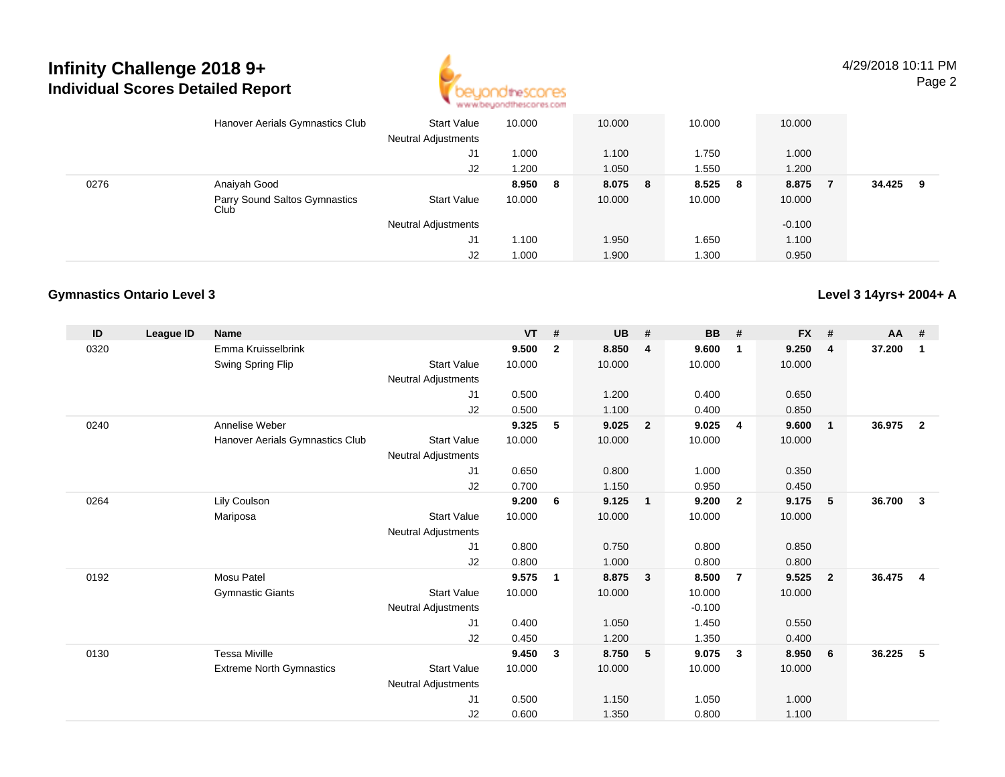

**Level 3 14yrs+ 2004+ A**

|      | Hanover Aerials Gymnastics Club       | <b>Start Value</b><br><b>Neutral Adjustments</b> | 10.000 |   | 10.000  | 10.000 |     | 10.000   |        |     |  |
|------|---------------------------------------|--------------------------------------------------|--------|---|---------|--------|-----|----------|--------|-----|--|
|      |                                       | J1                                               | 000.1  |   | 1.100   | 1.750  |     | 1.000    |        |     |  |
|      |                                       | J2                                               | 1.200  |   | 1.050   | 1.550  |     | 1.200    |        |     |  |
| 0276 | Anaiyah Good                          |                                                  | 8.950  | 8 | 8.075 8 | 8.525  | - 8 | 8.875    | 34.425 | - 9 |  |
|      | Parry Sound Saltos Gymnastics<br>Club | Start Value                                      | 10.000 |   | 10.000  | 10.000 |     | 10.000   |        |     |  |
|      |                                       | <b>Neutral Adjustments</b>                       |        |   |         |        |     | $-0.100$ |        |     |  |
|      |                                       | J1                                               | 1.100  |   | 1.950   | 1.650  |     | 1.100    |        |     |  |
|      |                                       | J2                                               | 1.000  |   | 1.900   | 1.300  |     | 0.950    |        |     |  |

#### **Gymnastics Ontario Level 3**

**ID League ID Name VT # UB # BB # FX # AA #** 0320 Emma Kruisselbrink **9.500 <sup>2</sup> 8.850 <sup>4</sup> 9.600 <sup>1</sup> 9.250 <sup>4</sup> 37.200 <sup>1</sup>** Swing Spring Flip Start Value 10.000 10.000 10.000 10.000 Neutral Adjustments J1 0.500 1.200 0.400 0.650 J2 0.500 1.100 0.400 0.850 0240 Annelise Weber **9.325 <sup>5</sup> 9.025 <sup>2</sup> 9.025 <sup>4</sup> 9.600 <sup>1</sup> 36.975 <sup>2</sup>** Hanover Aerials Gymnastics Clubb Start Value 10.000 10.000 10.000 10.000 10.000 Neutral Adjustments J1 0.650 0.800 1.000 0.350 J2 0.700 1.150 0.950 0.450 0264 Lily Coulson **9.200 <sup>6</sup> 9.125 <sup>1</sup> 9.200 <sup>2</sup> 9.175 <sup>5</sup> 36.700 <sup>3</sup>** Mariposa Start Value 10.000 10.000 10.000 10.000 Neutral Adjustments J1 0.800 0.750 0.800 0.850 J2 0.800 1.000 0.800 0.800 0192 Mosu Patel **9.575 <sup>1</sup> 8.875 <sup>3</sup> 8.500 <sup>7</sup> 9.525 <sup>2</sup> 36.475 <sup>4</sup>** Gymnastic Giants Start Valuee 10.000 10.000 10.000 10.000 Neutral Adjustments $-0.100$ 1.450 J1 0.400 1.050 1.450 0.550 J2 0.450 1.200 1.350 0.400 0130 Tessa Miville **9.450 <sup>3</sup> 8.750 <sup>5</sup> 9.075 <sup>3</sup> 8.950 <sup>6</sup> 36.225 <sup>5</sup>** Extreme North Gymnastics Start Valuee 10.000 10.000 10.000 10.000 Neutral Adjustments J1 0.500 1.150 1.050 1.000 J20.600 1.350 0.800 1.100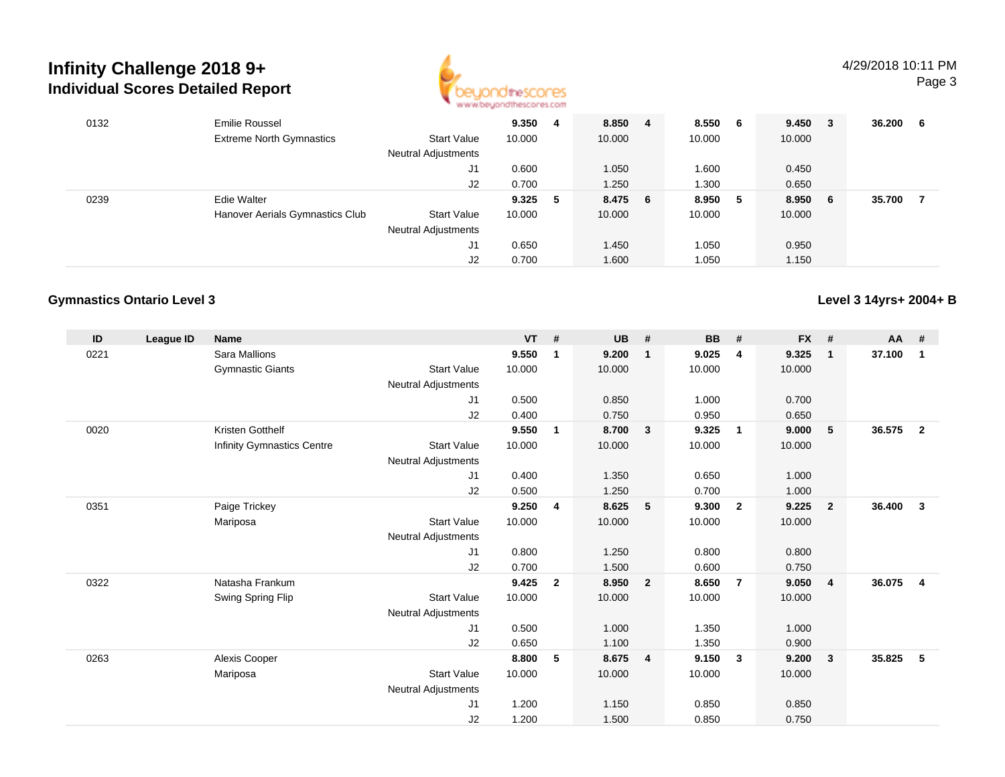

| 0132 | <b>Emilie Roussel</b>           |                            | 9.350  | 4  | 8.850 4 | 8.550  | - 6 | 9.450 3 | 36.200 | - 6 |
|------|---------------------------------|----------------------------|--------|----|---------|--------|-----|---------|--------|-----|
|      | <b>Extreme North Gymnastics</b> | <b>Start Value</b>         | 10.000 |    | 10.000  | 10.000 |     | 10.000  |        |     |
|      |                                 | <b>Neutral Adjustments</b> |        |    |         |        |     |         |        |     |
|      |                                 | J1                         | 0.600  |    | 1.050   | 1.600  |     | 0.450   |        |     |
|      |                                 | J2                         | 0.700  |    | 1.250   | 1.300  |     | 0.650   |        |     |
| 0239 | <b>Edie Walter</b>              |                            | 9.325  | -5 | 8.475 6 | 8.950  | - 5 | 8.950 6 | 35.700 | -7  |
|      | Hanover Aerials Gymnastics Club | <b>Start Value</b>         | 10.000 |    | 10.000  | 10.000 |     | 10.000  |        |     |
|      |                                 | <b>Neutral Adjustments</b> |        |    |         |        |     |         |        |     |
|      |                                 | J1                         | 0.650  |    | 1.450   | 1.050  |     | 0.950   |        |     |
|      |                                 | J2                         | 0.700  |    | 1.600   | 1.050  |     | 1.150   |        |     |

## **Gymnastics Ontario Level 3**

**Level 3 14yrs+ 2004+ B**

| ID   | League ID | <b>Name</b>                |                            | $VT$ # |              | <b>UB</b> | #              | <b>BB</b> | #                       | <b>FX</b> | #                       | AA #   |                |
|------|-----------|----------------------------|----------------------------|--------|--------------|-----------|----------------|-----------|-------------------------|-----------|-------------------------|--------|----------------|
| 0221 |           | <b>Sara Mallions</b>       |                            | 9.550  | 1            | 9.200     | $\mathbf{1}$   | 9.025     | $\overline{4}$          | 9.325     | $\overline{1}$          | 37.100 | $\mathbf{1}$   |
|      |           | <b>Gymnastic Giants</b>    | <b>Start Value</b>         | 10.000 |              | 10.000    |                | 10.000    |                         | 10.000    |                         |        |                |
|      |           |                            | Neutral Adjustments        |        |              |           |                |           |                         |           |                         |        |                |
|      |           |                            | J1                         | 0.500  |              | 0.850     |                | 1.000     |                         | 0.700     |                         |        |                |
|      |           |                            | J2                         | 0.400  |              | 0.750     |                | 0.950     |                         | 0.650     |                         |        |                |
| 0020 |           | Kristen Gotthelf           |                            | 9.550  | 1            | 8.700     | $\mathbf{3}$   | 9.325     | $\overline{\mathbf{1}}$ | 9.000     | 5                       | 36.575 | $\overline{2}$ |
|      |           | Infinity Gymnastics Centre | <b>Start Value</b>         | 10.000 |              | 10.000    |                | 10.000    |                         | 10.000    |                         |        |                |
|      |           |                            | <b>Neutral Adjustments</b> |        |              |           |                |           |                         |           |                         |        |                |
|      |           |                            | J1                         | 0.400  |              | 1.350     |                | 0.650     |                         | 1.000     |                         |        |                |
|      |           |                            | J2                         | 0.500  |              | 1.250     |                | 0.700     |                         | 1.000     |                         |        |                |
| 0351 |           | Paige Trickey              |                            | 9.250  | 4            | 8.625     | 5              | 9.300     | $\overline{2}$          | 9.225     | $\overline{\mathbf{2}}$ | 36.400 | $\mathbf{3}$   |
|      |           | Mariposa                   | <b>Start Value</b>         | 10.000 |              | 10.000    |                | 10.000    |                         | 10.000    |                         |        |                |
|      |           |                            | Neutral Adjustments        |        |              |           |                |           |                         |           |                         |        |                |
|      |           |                            | J1                         | 0.800  |              | 1.250     |                | 0.800     |                         | 0.800     |                         |        |                |
|      |           |                            | J2                         | 0.700  |              | 1.500     |                | 0.600     |                         | 0.750     |                         |        |                |
| 0322 |           | Natasha Frankum            |                            | 9.425  | $\mathbf{2}$ | 8.950     | $\overline{2}$ | 8.650     | $\overline{7}$          | 9.050     | $\overline{4}$          | 36.075 | $\overline{4}$ |
|      |           | Swing Spring Flip          | <b>Start Value</b>         | 10.000 |              | 10.000    |                | 10.000    |                         | 10.000    |                         |        |                |
|      |           |                            | Neutral Adjustments        |        |              |           |                |           |                         |           |                         |        |                |
|      |           |                            | J1                         | 0.500  |              | 1.000     |                | 1.350     |                         | 1.000     |                         |        |                |
|      |           |                            | J2                         | 0.650  |              | 1.100     |                | 1.350     |                         | 0.900     |                         |        |                |
| 0263 |           | Alexis Cooper              |                            | 8.800  | 5            | 8.675     | $\overline{4}$ | 9.150     | $\mathbf{3}$            | 9.200     | $\mathbf{3}$            | 35.825 | 5              |
|      |           | Mariposa                   | <b>Start Value</b>         | 10.000 |              | 10.000    |                | 10.000    |                         | 10.000    |                         |        |                |
|      |           |                            | Neutral Adjustments        |        |              |           |                |           |                         |           |                         |        |                |
|      |           |                            | J1                         | 1.200  |              | 1.150     |                | 0.850     |                         | 0.850     |                         |        |                |
|      |           |                            | J2                         | 1.200  |              | 1.500     |                | 0.850     |                         | 0.750     |                         |        |                |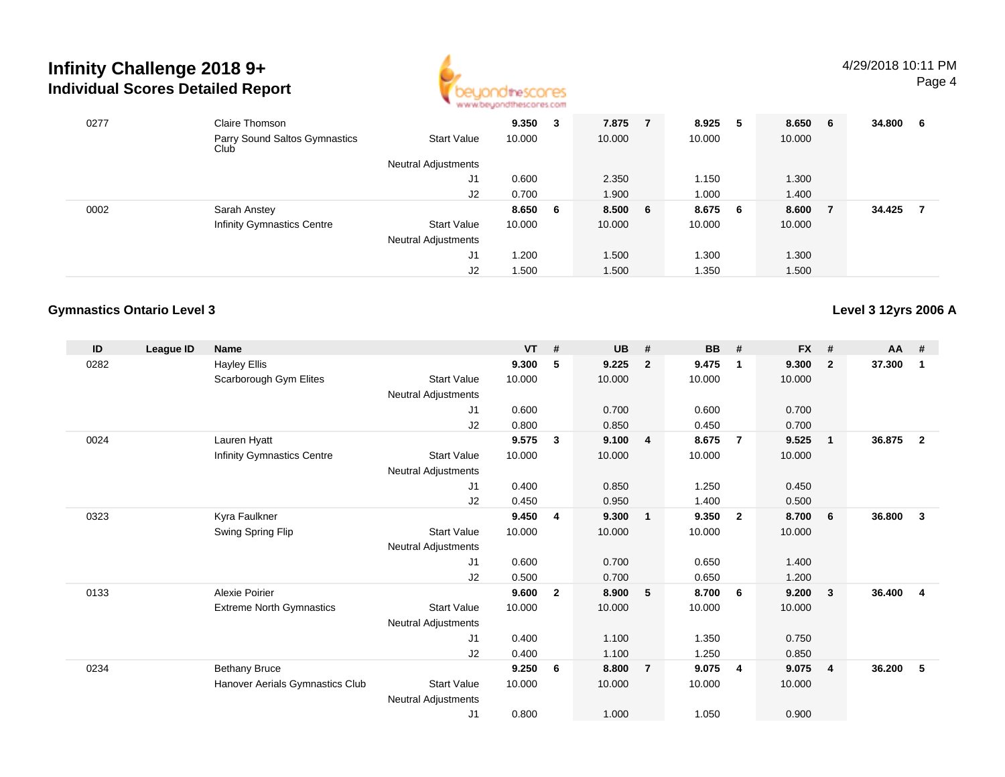

| 0277 | Claire Thomson<br>Parry Sound Saltos Gymnastics<br>Club | <b>Start Value</b>         | 9.350<br>10.000 | 3 | 7.875<br>10.000 | 8.925<br>10.000 | 5 | 8.650 6<br>10.000 | 34.800 | - 6 |
|------|---------------------------------------------------------|----------------------------|-----------------|---|-----------------|-----------------|---|-------------------|--------|-----|
|      |                                                         | <b>Neutral Adjustments</b> |                 |   |                 |                 |   |                   |        |     |
|      |                                                         | J1                         | 0.600           |   | 2.350           | 1.150           |   | 1.300             |        |     |
|      |                                                         | J2                         | 0.700           |   | 1.900           | 1.000           |   | 1.400             |        |     |
| 0002 | Sarah Anstey                                            |                            | 8.650 6         |   | 8.500 6         | 8.675 6         |   | 8.600             | 34.425 |     |
|      | <b>Infinity Gymnastics Centre</b>                       | Start Value                | 10.000          |   | 10.000          | 10.000          |   | 10.000            |        |     |
|      |                                                         | <b>Neutral Adjustments</b> |                 |   |                 |                 |   |                   |        |     |
|      |                                                         | J1                         | 1.200           |   | 1.500           | 1.300           |   | 1.300             |        |     |
|      |                                                         | J2                         | 1.500           |   | 1.500           | 1.350           |   | 1.500             |        |     |

## **Gymnastics Ontario Level 3**

**Level 3 12yrs 2006 A**

| ID   | League ID | Name                            |                            | <b>VT</b> | #            | UB     | #              | <b>BB</b> | #                       | <b>FX</b> | #              | $AA$ # |                |
|------|-----------|---------------------------------|----------------------------|-----------|--------------|--------|----------------|-----------|-------------------------|-----------|----------------|--------|----------------|
| 0282 |           | <b>Hayley Ellis</b>             |                            | 9.300     | 5            | 9.225  | $\overline{2}$ | 9.475     | -1                      | 9.300     | $\overline{2}$ | 37.300 | 1              |
|      |           | Scarborough Gym Elites          | <b>Start Value</b>         | 10.000    |              | 10.000 |                | 10.000    |                         | 10.000    |                |        |                |
|      |           |                                 | Neutral Adjustments        |           |              |        |                |           |                         |           |                |        |                |
|      |           |                                 | J1                         | 0.600     |              | 0.700  |                | 0.600     |                         | 0.700     |                |        |                |
|      |           |                                 | J2                         | 0.800     |              | 0.850  |                | 0.450     |                         | 0.700     |                |        |                |
| 0024 |           | Lauren Hyatt                    |                            | 9.575     | 3            | 9.100  | $\overline{4}$ | 8.675     | $\overline{7}$          | 9.525     | $\overline{1}$ | 36.875 | $\overline{2}$ |
|      |           | Infinity Gymnastics Centre      | <b>Start Value</b>         | 10.000    |              | 10.000 |                | 10.000    |                         | 10.000    |                |        |                |
|      |           |                                 | Neutral Adjustments        |           |              |        |                |           |                         |           |                |        |                |
|      |           |                                 | J1                         | 0.400     |              | 0.850  |                | 1.250     |                         | 0.450     |                |        |                |
|      |           |                                 | J <sub>2</sub>             | 0.450     |              | 0.950  |                | 1.400     |                         | 0.500     |                |        |                |
| 0323 |           | Kyra Faulkner                   |                            | 9.450     | 4            | 9.300  | $\overline{1}$ | 9.350     | $\overline{\mathbf{2}}$ | 8.700     | 6              | 36,800 | 3              |
|      |           | Swing Spring Flip               | <b>Start Value</b>         | 10.000    |              | 10.000 |                | 10.000    |                         | 10.000    |                |        |                |
|      |           |                                 | Neutral Adjustments        |           |              |        |                |           |                         |           |                |        |                |
|      |           |                                 | J1                         | 0.600     |              | 0.700  |                | 0.650     |                         | 1.400     |                |        |                |
|      |           |                                 | J2                         | 0.500     |              | 0.700  |                | 0.650     |                         | 1.200     |                |        |                |
| 0133 |           | Alexie Poirier                  |                            | 9.600     | $\mathbf{2}$ | 8.900  | 5              | 8.700     | - 6                     | 9.200     | 3              | 36.400 | 4              |
|      |           | <b>Extreme North Gymnastics</b> | <b>Start Value</b>         | 10.000    |              | 10.000 |                | 10.000    |                         | 10.000    |                |        |                |
|      |           |                                 | <b>Neutral Adjustments</b> |           |              |        |                |           |                         |           |                |        |                |
|      |           |                                 | J1                         | 0.400     |              | 1.100  |                | 1.350     |                         | 0.750     |                |        |                |
|      |           |                                 | J <sub>2</sub>             | 0.400     |              | 1.100  |                | 1.250     |                         | 0.850     |                |        |                |
| 0234 |           | <b>Bethany Bruce</b>            |                            | 9.250     | 6            | 8.800  | $\overline{7}$ | 9.075     | $\overline{4}$          | 9.075     | $\overline{4}$ | 36.200 | 5              |
|      |           | Hanover Aerials Gymnastics Club | <b>Start Value</b>         | 10.000    |              | 10.000 |                | 10.000    |                         | 10.000    |                |        |                |
|      |           |                                 | <b>Neutral Adjustments</b> |           |              |        |                |           |                         |           |                |        |                |
|      |           |                                 | J <sub>1</sub>             | 0.800     |              | 1.000  |                | 1.050     |                         | 0.900     |                |        |                |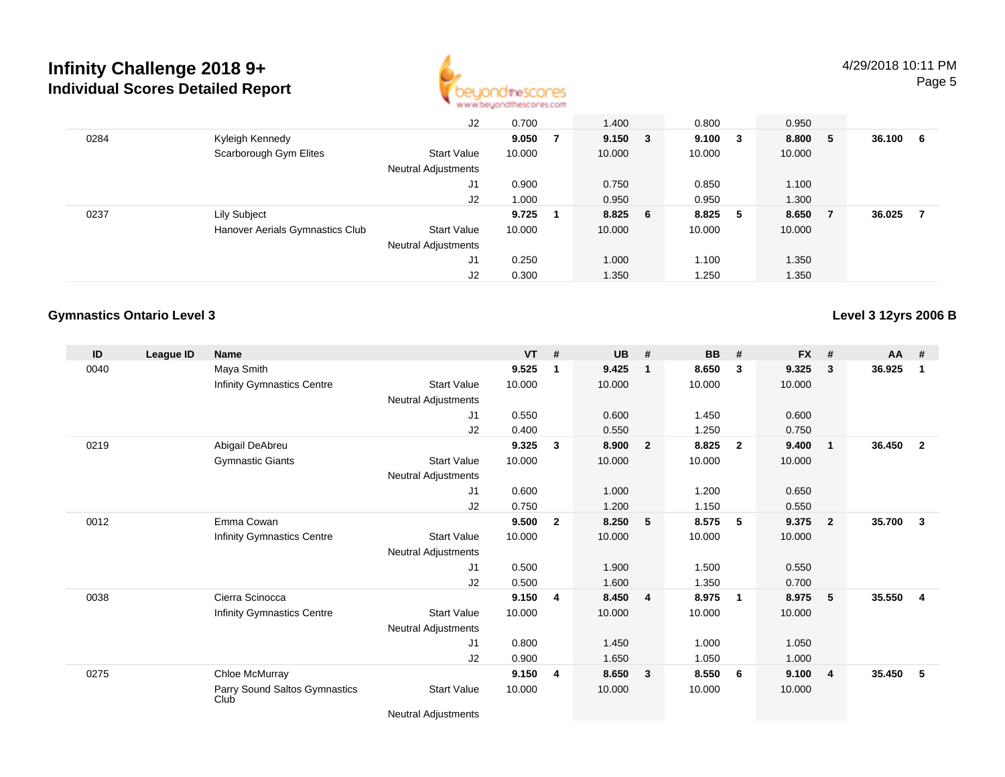

|      |                                 | J2                         | 0.700  |   | 1.400       | 0.800       |     | 0.950  |     |        |    |
|------|---------------------------------|----------------------------|--------|---|-------------|-------------|-----|--------|-----|--------|----|
| 0284 | Kyleigh Kennedy                 |                            | 9.050  | 7 | $9.150 \t3$ | $9.100 \t3$ |     | 8.800  | - 5 | 36.100 | -6 |
|      | Scarborough Gym Elites          | <b>Start Value</b>         | 10.000 |   | 10.000      | 10.000      |     | 10.000 |     |        |    |
|      |                                 | Neutral Adjustments        |        |   |             |             |     |        |     |        |    |
|      |                                 | J1                         | 0.900  |   | 0.750       | 0.850       |     | 1.100  |     |        |    |
|      |                                 | J2                         | 1.000  |   | 0.950       | 0.950       |     | 1.300  |     |        |    |
| 0237 | Lily Subject                    |                            | 9.725  |   | 8.825 6     | 8.825       | - 5 | 8.650  | - 7 | 36.025 |    |
|      | Hanover Aerials Gymnastics Club | <b>Start Value</b>         | 10.000 |   | 10.000      | 10.000      |     | 10.000 |     |        |    |
|      |                                 | <b>Neutral Adjustments</b> |        |   |             |             |     |        |     |        |    |
|      |                                 | J1                         | 0.250  |   | 1.000       | 1.100       |     | 1.350  |     |        |    |
|      |                                 | J2                         | 0.300  |   | 1.350       | 1.250       |     | 1.350  |     |        |    |

### **Gymnastics Ontario Level 3**

**Level 3 12yrs 2006 B**

| ID   | League ID | <b>Name</b>                           |                                                                                                                                                                                                                                            | <b>VT</b> | #              | <b>UB</b> | #                       | <b>BB</b> | #                       | <b>FX</b> | #              | $AA$ # |                |
|------|-----------|---------------------------------------|--------------------------------------------------------------------------------------------------------------------------------------------------------------------------------------------------------------------------------------------|-----------|----------------|-----------|-------------------------|-----------|-------------------------|-----------|----------------|--------|----------------|
| 0040 |           | Maya Smith                            |                                                                                                                                                                                                                                            | 9.525     | 1              | 9.425     | $\mathbf 1$             | 8.650     | 3                       | 9.325     | 3              | 36.925 | 1              |
|      |           | Infinity Gymnastics Centre            | <b>Start Value</b>                                                                                                                                                                                                                         | 10.000    |                | 10.000    |                         | 10.000    |                         | 10.000    |                |        |                |
|      |           |                                       | Neutral Adjustments                                                                                                                                                                                                                        |           |                |           |                         |           |                         |           |                |        |                |
|      |           |                                       | J1                                                                                                                                                                                                                                         | 0.550     |                | 0.600     |                         | 1.450     |                         | 0.600     |                |        |                |
|      |           |                                       | J2                                                                                                                                                                                                                                         | 0.400     |                | 0.550     |                         | 1.250     |                         | 0.750     |                |        |                |
| 0219 |           | Abigail DeAbreu                       |                                                                                                                                                                                                                                            | 9.325     | 3              | 8.900     | $\overline{2}$          | 8.825     | $\overline{2}$          | 9.400     | $\mathbf{1}$   | 36.450 | $\overline{2}$ |
|      |           | <b>Gymnastic Giants</b>               | Start Value                                                                                                                                                                                                                                | 10.000    |                | 10.000    |                         | 10.000    |                         | 10.000    |                |        |                |
|      |           |                                       | Neutral Adjustments                                                                                                                                                                                                                        |           |                |           |                         |           |                         |           |                |        |                |
|      |           |                                       | J1                                                                                                                                                                                                                                         | 0.600     |                | 1.000     |                         | 1.200     |                         | 0.650     |                |        |                |
|      |           |                                       | J2                                                                                                                                                                                                                                         | 0.750     |                | 1.200     |                         | 1.150     |                         | 0.550     |                |        |                |
| 0012 |           | Emma Cowan                            |                                                                                                                                                                                                                                            | 9.500     | $\overline{2}$ | 8.250     | 5                       | 8.575     | 5                       | 9.375     | $\overline{2}$ | 35.700 | $\mathbf{3}$   |
|      |           | Infinity Gymnastics Centre            | Start Value                                                                                                                                                                                                                                | 10.000    |                | 10.000    |                         | 10.000    |                         | 10.000    |                |        |                |
|      |           |                                       | Neutral Adjustments                                                                                                                                                                                                                        |           |                |           |                         |           |                         |           |                |        |                |
|      |           |                                       | J1                                                                                                                                                                                                                                         | 0.500     |                | 1.900     |                         | 1.500     |                         | 0.550     |                |        |                |
|      |           |                                       | J2                                                                                                                                                                                                                                         | 0.500     |                | 1.600     |                         | 1.350     |                         | 0.700     |                |        |                |
| 0038 |           | Cierra Scinocca                       |                                                                                                                                                                                                                                            | 9.150     | $\overline{4}$ | 8.450     | $\overline{\mathbf{4}}$ | 8.975     | $\overline{\mathbf{1}}$ | 8.975     | -5             | 35.550 | $\overline{4}$ |
|      |           | Infinity Gymnastics Centre            | <b>Start Value</b>                                                                                                                                                                                                                         | 10.000    |                | 10.000    |                         | 10.000    |                         | 10.000    |                |        |                |
|      |           |                                       | Neutral Adjustments                                                                                                                                                                                                                        |           |                |           |                         |           |                         |           |                |        |                |
|      |           |                                       | J1                                                                                                                                                                                                                                         | 0.800     |                | 1.450     |                         | 1.000     |                         | 1.050     |                |        |                |
|      |           |                                       | J2                                                                                                                                                                                                                                         | 0.900     |                | 1.650     |                         | 1.050     |                         | 1.000     |                |        |                |
| 0275 |           | Chloe McMurray                        |                                                                                                                                                                                                                                            | 9.150     | 4              | 8.650     | $\mathbf{3}$            | 8.550     | 6                       | 9.100     | $\overline{4}$ | 35.450 | 5              |
|      |           | Parry Sound Saltos Gymnastics<br>Club | Start Value                                                                                                                                                                                                                                | 10.000    |                | 10.000    |                         | 10.000    |                         | 10.000    |                |        |                |
|      |           |                                       | $\mathbf{A} \cdot \mathbf{A}$ . The state of the state of the state of the state of the state of the state of the state of the state of the state of the state of the state of the state of the state of the state of the state of the sta |           |                |           |                         |           |                         |           |                |        |                |

Neutral Adjustments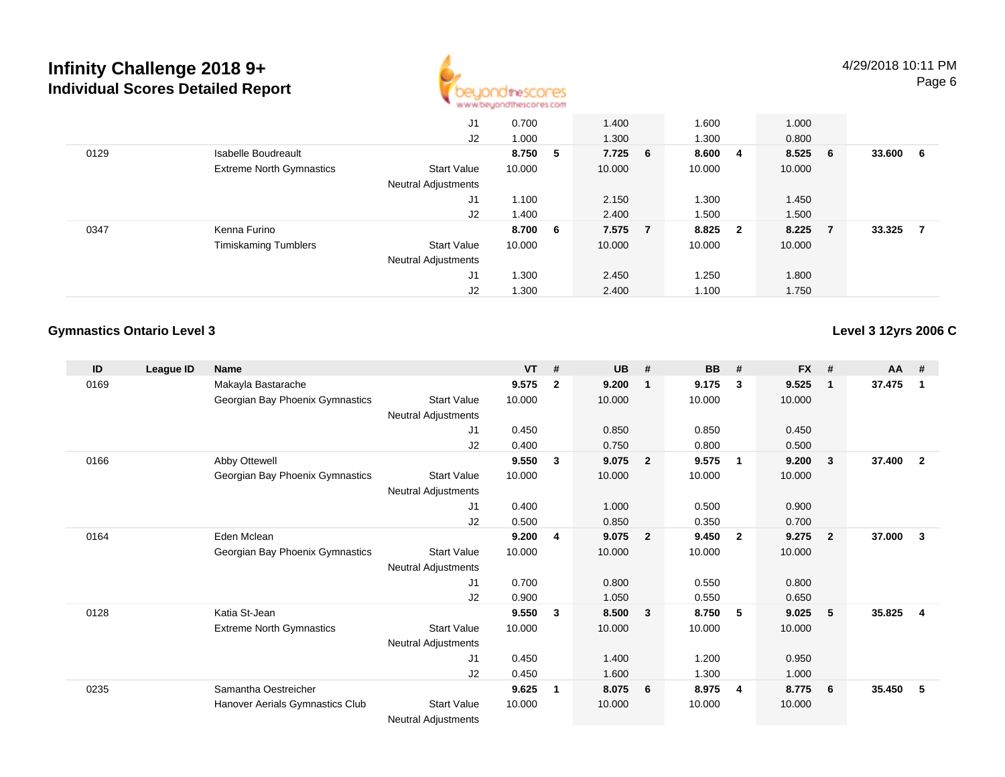

|      |                                 | J1                         | 0.700   |   | 1.400   | 1.600  |                         | 1.000  |     |        |    |
|------|---------------------------------|----------------------------|---------|---|---------|--------|-------------------------|--------|-----|--------|----|
|      |                                 | J2                         | 1.000   |   | 1.300   | 1.300  |                         | 0.800  |     |        |    |
| 0129 | Isabelle Boudreault             |                            | 8.750   | 5 | 7.725 6 | 8.600  | - 4                     | 8.525  | 6   | 33.600 | -6 |
|      | <b>Extreme North Gymnastics</b> | <b>Start Value</b>         | 10.000  |   | 10.000  | 10.000 |                         | 10.000 |     |        |    |
|      |                                 | Neutral Adjustments        |         |   |         |        |                         |        |     |        |    |
|      |                                 | J1                         | 1.100   |   | 2.150   | 1.300  |                         | 1.450  |     |        |    |
|      |                                 | J2                         | 1.400   |   | 2.400   | 1.500  |                         | 1.500  |     |        |    |
| 0347 | Kenna Furino                    |                            | 8.700 6 |   | 7.575 7 | 8.825  | $\overline{\mathbf{2}}$ | 8.225  | - 7 | 33.325 | 7  |
|      | <b>Timiskaming Tumblers</b>     | <b>Start Value</b>         | 10.000  |   | 10.000  | 10.000 |                         | 10.000 |     |        |    |
|      |                                 | <b>Neutral Adjustments</b> |         |   |         |        |                         |        |     |        |    |
|      |                                 | J1                         | 1.300   |   | 2.450   | 1.250  |                         | 1.800  |     |        |    |
|      |                                 | J2                         | 1.300   |   | 2.400   | 1.100  |                         | 1.750  |     |        |    |

## **Gymnastics Ontario Level 3**

**Level 3 12yrs 2006 C**

| ID   | League ID | <b>Name</b>                     |                            | <b>VT</b> | #            | <b>UB</b> | #              | <b>BB</b> | #                       | <b>FX</b> | #            | <b>AA</b> | #              |
|------|-----------|---------------------------------|----------------------------|-----------|--------------|-----------|----------------|-----------|-------------------------|-----------|--------------|-----------|----------------|
| 0169 |           | Makayla Bastarache              |                            | 9.575     | $\mathbf{2}$ | 9.200     | 1              | 9.175     | 3                       | 9.525     | $\mathbf{1}$ | 37.475    | 1              |
|      |           | Georgian Bay Phoenix Gymnastics | Start Value                | 10.000    |              | 10.000    |                | 10.000    |                         | 10.000    |              |           |                |
|      |           |                                 | <b>Neutral Adjustments</b> |           |              |           |                |           |                         |           |              |           |                |
|      |           |                                 | J1                         | 0.450     |              | 0.850     |                | 0.850     |                         | 0.450     |              |           |                |
|      |           |                                 | J2                         | 0.400     |              | 0.750     |                | 0.800     |                         | 0.500     |              |           |                |
| 0166 |           | Abby Ottewell                   |                            | 9.550     | 3            | 9.075     | $\overline{2}$ | 9.575     | $\mathbf 1$             | 9.200     | 3            | 37.400    | $\overline{2}$ |
|      |           | Georgian Bay Phoenix Gymnastics | <b>Start Value</b>         | 10.000    |              | 10.000    |                | 10.000    |                         | 10.000    |              |           |                |
|      |           |                                 | Neutral Adjustments        |           |              |           |                |           |                         |           |              |           |                |
|      |           |                                 | J1                         | 0.400     |              | 1.000     |                | 0.500     |                         | 0.900     |              |           |                |
|      |           |                                 | J2                         | 0.500     |              | 0.850     |                | 0.350     |                         | 0.700     |              |           |                |
| 0164 |           | Eden Mclean                     |                            | 9.200     | 4            | 9.075     | $\mathbf{2}$   | 9.450     | $\overline{\mathbf{2}}$ | 9.275     | $\mathbf{2}$ | 37.000    | $\mathbf{3}$   |
|      |           | Georgian Bay Phoenix Gymnastics | <b>Start Value</b>         | 10.000    |              | 10.000    |                | 10.000    |                         | 10.000    |              |           |                |
|      |           |                                 | <b>Neutral Adjustments</b> |           |              |           |                |           |                         |           |              |           |                |
|      |           |                                 | J1                         | 0.700     |              | 0.800     |                | 0.550     |                         | 0.800     |              |           |                |
|      |           |                                 | J2                         | 0.900     |              | 1.050     |                | 0.550     |                         | 0.650     |              |           |                |
| 0128 |           | Katia St-Jean                   |                            | 9.550     | 3            | 8.500     | $\mathbf{3}$   | 8.750     | - 5                     | 9.025     | 5            | 35.825    | 4              |
|      |           | <b>Extreme North Gymnastics</b> | <b>Start Value</b>         | 10.000    |              | 10.000    |                | 10.000    |                         | 10.000    |              |           |                |
|      |           |                                 | <b>Neutral Adjustments</b> |           |              |           |                |           |                         |           |              |           |                |
|      |           |                                 | J1                         | 0.450     |              | 1.400     |                | 1.200     |                         | 0.950     |              |           |                |
|      |           |                                 | J2                         | 0.450     |              | 1.600     |                | 1.300     |                         | 1.000     |              |           |                |
| 0235 |           | Samantha Oestreicher            |                            | 9.625     | 1            | 8.075     | 6              | 8.975     | 4                       | 8.775     | - 6          | 35.450    | 5              |
|      |           | Hanover Aerials Gymnastics Club | <b>Start Value</b>         | 10.000    |              | 10.000    |                | 10.000    |                         | 10.000    |              |           |                |
|      |           |                                 | <b>Neutral Adjustments</b> |           |              |           |                |           |                         |           |              |           |                |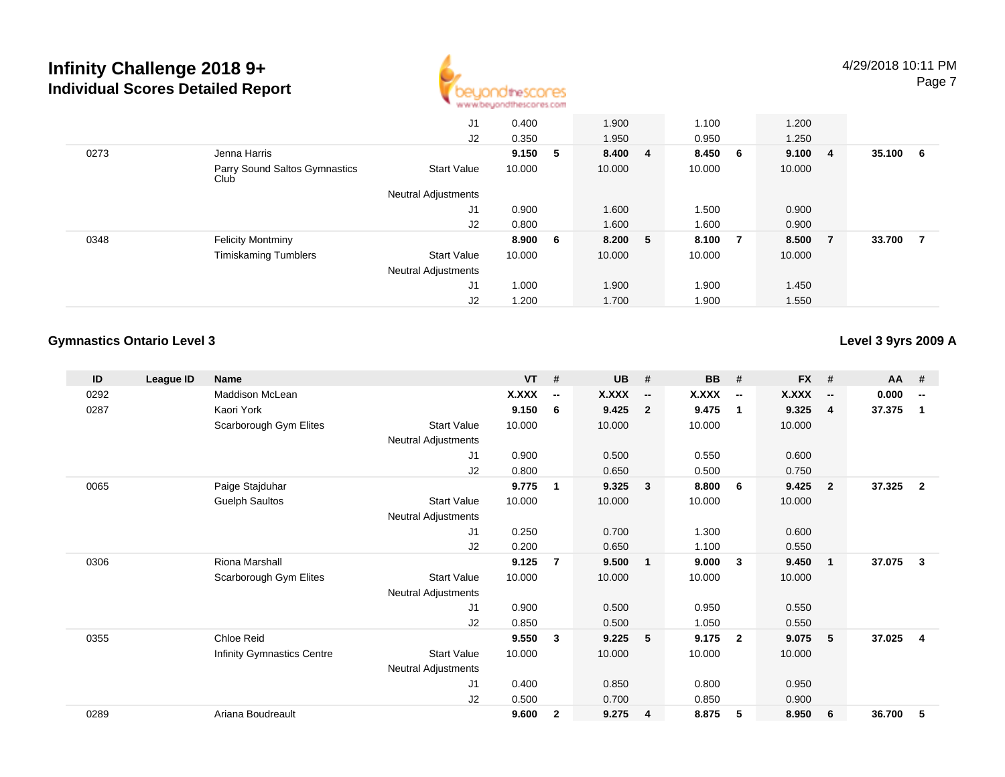

|      |                                       | J1<br>J2                   | 0.400<br>0.350 | 1.900<br>1.950 |    | 1.100<br>0.950 |                | 1.200<br>1.250 |     |        |   |
|------|---------------------------------------|----------------------------|----------------|----------------|----|----------------|----------------|----------------|-----|--------|---|
| 0273 | Jenna Harris                          |                            | 9.150 5        | 8.400 4        |    | 8.450          | 6              | 9.100          | -4  | 35.100 | 6 |
|      | Parry Sound Saltos Gymnastics<br>Club | <b>Start Value</b>         | 10.000         | 10.000         |    | 10.000         |                | 10.000         |     |        |   |
|      |                                       | <b>Neutral Adjustments</b> |                |                |    |                |                |                |     |        |   |
|      |                                       | J1                         | 0.900          | 1.600          |    | 1.500          |                | 0.900          |     |        |   |
|      |                                       | J2                         | 0.800          | 1.600          |    | 1.600          |                | 0.900          |     |        |   |
| 0348 | <b>Felicity Montminy</b>              |                            | 8.900 6        | 8.200          | -5 | 8.100          | $\overline{7}$ | 8.500          | - 7 | 33.700 | 7 |
|      | <b>Timiskaming Tumblers</b>           | <b>Start Value</b>         | 10.000         | 10.000         |    | 10.000         |                | 10.000         |     |        |   |
|      |                                       | <b>Neutral Adjustments</b> |                |                |    |                |                |                |     |        |   |
|      |                                       | J1                         | 1.000          | 1.900          |    | 1.900          |                | 1.450          |     |        |   |
|      |                                       | J2                         | 1.200          | 1.700          |    | 1.900          |                | 1.550          |     |        |   |

## **Gymnastics Ontario Level 3**

**Level 3 9yrs 2009 A**

| ID   | League ID | <b>Name</b>                |                            | <b>VT</b>    | #                        | <b>UB</b>    | #                        | <b>BB</b> | #                        | <b>FX</b>    | #                        | <b>AA</b> | #                        |
|------|-----------|----------------------------|----------------------------|--------------|--------------------------|--------------|--------------------------|-----------|--------------------------|--------------|--------------------------|-----------|--------------------------|
| 0292 |           | Maddison McLean            |                            | <b>X.XXX</b> | $\overline{\phantom{a}}$ | <b>X.XXX</b> | $\overline{\phantom{a}}$ | X.XXX     | $\overline{\phantom{a}}$ | <b>X.XXX</b> | $\overline{\phantom{a}}$ | 0.000     | $\overline{\phantom{a}}$ |
| 0287 |           | Kaori York                 |                            | 9.150        | 6                        | 9.425        | $\overline{2}$           | 9.475     | $\overline{\mathbf{1}}$  | 9.325        | $\overline{4}$           | 37.375    | $\mathbf 1$              |
|      |           | Scarborough Gym Elites     | <b>Start Value</b>         | 10.000       |                          | 10.000       |                          | 10.000    |                          | 10.000       |                          |           |                          |
|      |           |                            | <b>Neutral Adjustments</b> |              |                          |              |                          |           |                          |              |                          |           |                          |
|      |           |                            | J1                         | 0.900        |                          | 0.500        |                          | 0.550     |                          | 0.600        |                          |           |                          |
|      |           |                            | J2                         | 0.800        |                          | 0.650        |                          | 0.500     |                          | 0.750        |                          |           |                          |
| 0065 |           | Paige Stajduhar            |                            | 9.775        | 1                        | 9.325        | 3                        | 8.800     | - 6                      | 9.425        | $\overline{\mathbf{2}}$  | 37.325    | $\overline{2}$           |
|      |           | <b>Guelph Saultos</b>      | <b>Start Value</b>         | 10.000       |                          | 10.000       |                          | 10.000    |                          | 10.000       |                          |           |                          |
|      |           |                            | Neutral Adjustments        |              |                          |              |                          |           |                          |              |                          |           |                          |
|      |           |                            | J1                         | 0.250        |                          | 0.700        |                          | 1.300     |                          | 0.600        |                          |           |                          |
|      |           |                            | J2                         | 0.200        |                          | 0.650        |                          | 1.100     |                          | 0.550        |                          |           |                          |
| 0306 |           | <b>Riona Marshall</b>      |                            | 9.125        | 7                        | 9.500        | $\mathbf{1}$             | 9.000     | $\mathbf{3}$             | 9.450        | $\overline{1}$           | 37.075    | 3                        |
|      |           | Scarborough Gym Elites     | <b>Start Value</b>         | 10.000       |                          | 10.000       |                          | 10.000    |                          | 10.000       |                          |           |                          |
|      |           |                            | <b>Neutral Adjustments</b> |              |                          |              |                          |           |                          |              |                          |           |                          |
|      |           |                            | J1                         | 0.900        |                          | 0.500        |                          | 0.950     |                          | 0.550        |                          |           |                          |
|      |           |                            | J2                         | 0.850        |                          | 0.500        |                          | 1.050     |                          | 0.550        |                          |           |                          |
| 0355 |           | Chloe Reid                 |                            | 9.550        | 3                        | 9.225        | 5                        | 9.175     | $\overline{2}$           | 9.075        | -5                       | 37.025    | $\overline{\mathbf{4}}$  |
|      |           | Infinity Gymnastics Centre | <b>Start Value</b>         | 10.000       |                          | 10.000       |                          | 10.000    |                          | 10.000       |                          |           |                          |
|      |           |                            | <b>Neutral Adjustments</b> |              |                          |              |                          |           |                          |              |                          |           |                          |
|      |           |                            | J <sub>1</sub>             | 0.400        |                          | 0.850        |                          | 0.800     |                          | 0.950        |                          |           |                          |
|      |           |                            | J2                         | 0.500        |                          | 0.700        |                          | 0.850     |                          | 0.900        |                          |           |                          |
| 0289 |           | Ariana Boudreault          |                            | 9.600        | $\mathbf{2}$             | 9.275        | $\overline{\mathbf{4}}$  | 8.875     | 5                        | 8.950        | 6                        | 36.700    | 5                        |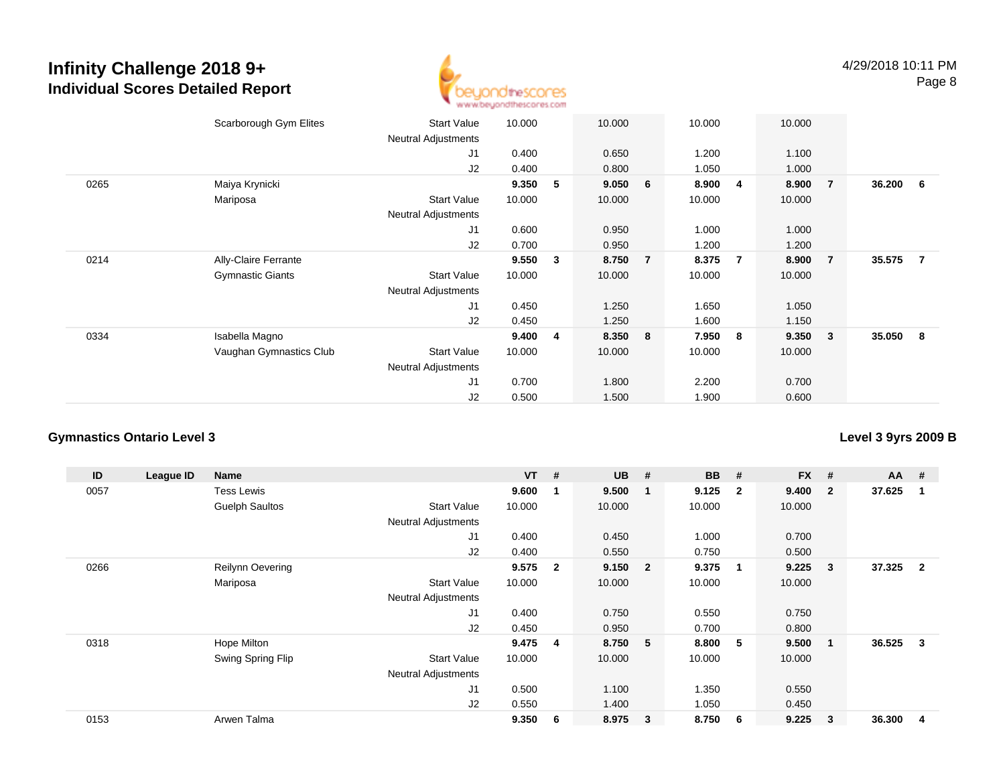

|      | Scarborough Gym Elites  | <b>Start Value</b><br>Neutral Adjustments | 10.000 |   | 10.000 |                | 10.000 |   | 10.000 |                |        |                |
|------|-------------------------|-------------------------------------------|--------|---|--------|----------------|--------|---|--------|----------------|--------|----------------|
|      |                         | J <sub>1</sub>                            | 0.400  |   | 0.650  |                | 1.200  |   | 1.100  |                |        |                |
|      |                         | J2                                        | 0.400  |   | 0.800  |                | 1.050  |   | 1.000  |                |        |                |
| 0265 | Maiya Krynicki          |                                           | 9.350  | 5 | 9.050  | 6              | 8.900  | 4 | 8.900  | $\overline{7}$ | 36.200 | 6              |
|      | Mariposa                | <b>Start Value</b>                        | 10.000 |   | 10.000 |                | 10.000 |   | 10.000 |                |        |                |
|      |                         | Neutral Adjustments                       |        |   |        |                |        |   |        |                |        |                |
|      |                         | J1                                        | 0.600  |   | 0.950  |                | 1.000  |   | 1.000  |                |        |                |
|      |                         | J2                                        | 0.700  |   | 0.950  |                | 1.200  |   | 1.200  |                |        |                |
| 0214 | Ally-Claire Ferrante    |                                           | 9.550  | 3 | 8.750  | $\overline{7}$ | 8.375  | 7 | 8.900  | $\overline{7}$ | 35.575 | $\overline{7}$ |
|      | <b>Gymnastic Giants</b> | <b>Start Value</b>                        | 10.000 |   | 10.000 |                | 10.000 |   | 10.000 |                |        |                |
|      |                         | <b>Neutral Adjustments</b>                |        |   |        |                |        |   |        |                |        |                |
|      |                         | J1                                        | 0.450  |   | 1.250  |                | 1.650  |   | 1.050  |                |        |                |
|      |                         | J2                                        | 0.450  |   | 1.250  |                | 1.600  |   | 1.150  |                |        |                |
| 0334 | Isabella Magno          |                                           | 9.400  | 4 | 8.350  | 8              | 7.950  | 8 | 9.350  | 3              | 35.050 | 8              |
|      | Vaughan Gymnastics Club | <b>Start Value</b>                        | 10.000 |   | 10.000 |                | 10.000 |   | 10.000 |                |        |                |
|      |                         | <b>Neutral Adjustments</b>                |        |   |        |                |        |   |        |                |        |                |
|      |                         | J <sub>1</sub>                            | 0.700  |   | 1.800  |                | 2.200  |   | 0.700  |                |        |                |
|      |                         | J2                                        | 0.500  |   | 1.500  |                | 1.900  |   | 0.600  |                |        |                |

## **Gymnastics Ontario Level 3**

**Level 3 9yrs 2009 B**

| ID   | League ID | <b>Name</b>             |                            | $VT$ # |                         | <b>UB</b> | #                       | <b>BB</b> | #            | <b>FX</b> | #              | $AA$ # |                |
|------|-----------|-------------------------|----------------------------|--------|-------------------------|-----------|-------------------------|-----------|--------------|-----------|----------------|--------|----------------|
| 0057 |           | <b>Tess Lewis</b>       |                            | 9.600  | -1                      | 9.500     | - 1                     | 9.125     | $\mathbf{2}$ | 9.400     | $\overline{2}$ | 37.625 | -1             |
|      |           | <b>Guelph Saultos</b>   | <b>Start Value</b>         | 10.000 |                         | 10.000    |                         | 10.000    |              | 10.000    |                |        |                |
|      |           |                         | <b>Neutral Adjustments</b> |        |                         |           |                         |           |              |           |                |        |                |
|      |           |                         | J1                         | 0.400  |                         | 0.450     |                         | 1.000     |              | 0.700     |                |        |                |
|      |           |                         | J2                         | 0.400  |                         | 0.550     |                         | 0.750     |              | 0.500     |                |        |                |
| 0266 |           | <b>Reilynn Oevering</b> |                            | 9.575  | $\overline{\mathbf{2}}$ | 9.150     | $\overline{\mathbf{2}}$ | 9.375     | $\mathbf 1$  | 9.225     | 3              | 37.325 | $\overline{2}$ |
|      |           | Mariposa                | <b>Start Value</b>         | 10.000 |                         | 10.000    |                         | 10.000    |              | 10.000    |                |        |                |
|      |           |                         | <b>Neutral Adjustments</b> |        |                         |           |                         |           |              |           |                |        |                |
|      |           |                         | J1                         | 0.400  |                         | 0.750     |                         | 0.550     |              | 0.750     |                |        |                |
|      |           |                         | J2                         | 0.450  |                         | 0.950     |                         | 0.700     |              | 0.800     |                |        |                |
| 0318 |           | Hope Milton             |                            | 9.475  | $\overline{4}$          | 8.750     | $-5$                    | 8.800     | -5           | 9.500     | -1             | 36.525 | 3              |
|      |           | Swing Spring Flip       | <b>Start Value</b>         | 10.000 |                         | 10.000    |                         | 10.000    |              | 10.000    |                |        |                |
|      |           |                         | <b>Neutral Adjustments</b> |        |                         |           |                         |           |              |           |                |        |                |
|      |           |                         | J <sub>1</sub>             | 0.500  |                         | 1.100     |                         | 1.350     |              | 0.550     |                |        |                |
|      |           |                         | J2                         | 0.550  |                         | 1.400     |                         | 1.050     |              | 0.450     |                |        |                |
| 0153 |           | Arwen Talma             |                            | 9.350  | 6                       | 8.975     | $\mathbf{3}$            | 8.750     | 6            | 9.225     | 3              | 36.300 | 4              |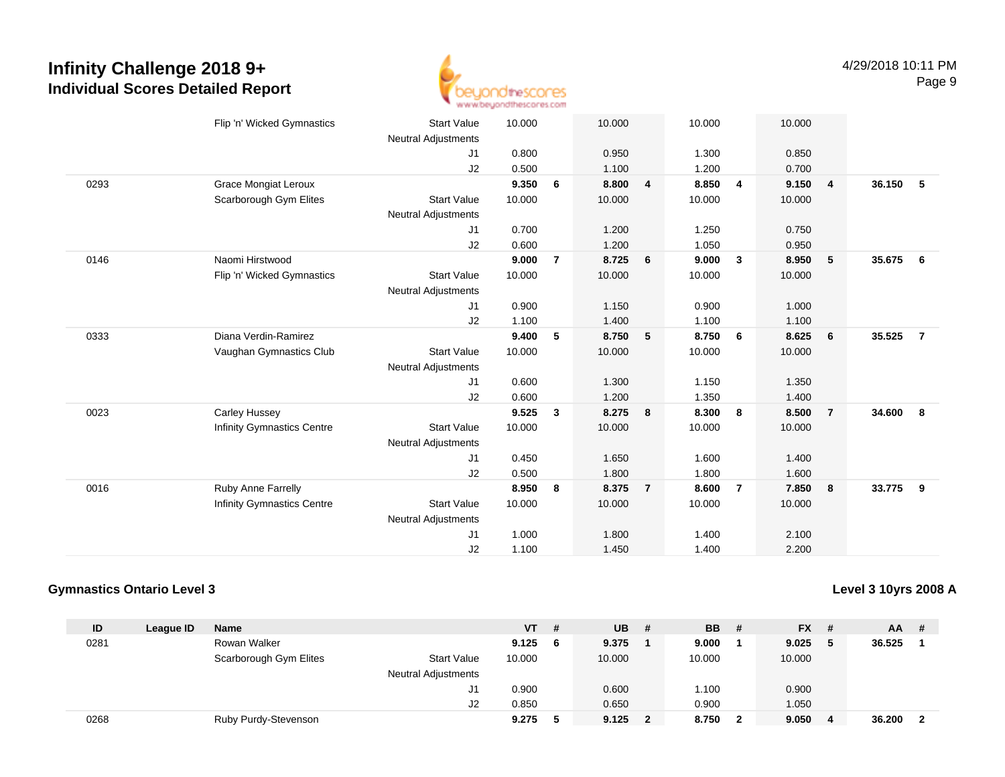

|      | Flip 'n' Wicked Gymnastics        | <b>Start Value</b><br><b>Neutral Adjustments</b> | 10.000 |                | 10.000 |                | 10.000 |                | 10.000 |                |        |                |
|------|-----------------------------------|--------------------------------------------------|--------|----------------|--------|----------------|--------|----------------|--------|----------------|--------|----------------|
|      |                                   | J1                                               | 0.800  |                | 0.950  |                | 1.300  |                | 0.850  |                |        |                |
|      |                                   | J2                                               | 0.500  |                | 1.100  |                | 1.200  |                | 0.700  |                |        |                |
| 0293 | <b>Grace Mongiat Leroux</b>       |                                                  | 9.350  | 6              | 8.800  | 4              | 8.850  | 4              | 9.150  | $\overline{4}$ | 36.150 | 5              |
|      | Scarborough Gym Elites            | <b>Start Value</b>                               | 10.000 |                | 10.000 |                | 10.000 |                | 10.000 |                |        |                |
|      |                                   | <b>Neutral Adjustments</b>                       |        |                |        |                |        |                |        |                |        |                |
|      |                                   | J <sub>1</sub>                                   | 0.700  |                | 1.200  |                | 1.250  |                | 0.750  |                |        |                |
|      |                                   | J2                                               | 0.600  |                | 1.200  |                | 1.050  |                | 0.950  |                |        |                |
| 0146 | Naomi Hirstwood                   |                                                  | 9.000  | $\overline{7}$ | 8.725  | 6              | 9.000  | $\mathbf{3}$   | 8.950  | $-5$           | 35.675 | 6              |
|      | Flip 'n' Wicked Gymnastics        | <b>Start Value</b>                               | 10.000 |                | 10.000 |                | 10.000 |                | 10.000 |                |        |                |
|      |                                   | <b>Neutral Adjustments</b>                       |        |                |        |                |        |                |        |                |        |                |
|      |                                   | J1                                               | 0.900  |                | 1.150  |                | 0.900  |                | 1.000  |                |        |                |
|      |                                   | J2                                               | 1.100  |                | 1.400  |                | 1.100  |                | 1.100  |                |        |                |
| 0333 | Diana Verdin-Ramirez              |                                                  | 9.400  | 5              | 8.750  | 5              | 8.750  | 6              | 8.625  | 6              | 35.525 | $\overline{7}$ |
|      | Vaughan Gymnastics Club           | <b>Start Value</b>                               | 10.000 |                | 10.000 |                | 10.000 |                | 10.000 |                |        |                |
|      |                                   | <b>Neutral Adjustments</b>                       |        |                |        |                |        |                |        |                |        |                |
|      |                                   | J1                                               | 0.600  |                | 1.300  |                | 1.150  |                | 1.350  |                |        |                |
|      |                                   | J <sub>2</sub>                                   | 0.600  |                | 1.200  |                | 1.350  |                | 1.400  |                |        |                |
| 0023 | <b>Carley Hussey</b>              |                                                  | 9.525  | $\mathbf{3}$   | 8.275  | 8              | 8.300  | 8              | 8.500  | $\overline{7}$ | 34.600 | 8              |
|      | <b>Infinity Gymnastics Centre</b> | <b>Start Value</b>                               | 10.000 |                | 10.000 |                | 10.000 |                | 10.000 |                |        |                |
|      |                                   | <b>Neutral Adjustments</b>                       |        |                |        |                |        |                |        |                |        |                |
|      |                                   | J1                                               | 0.450  |                | 1.650  |                | 1.600  |                | 1.400  |                |        |                |
|      |                                   | J2                                               | 0.500  |                | 1.800  |                | 1.800  |                | 1.600  |                |        |                |
| 0016 | Ruby Anne Farrelly                |                                                  | 8.950  | 8              | 8.375  | $\overline{7}$ | 8.600  | $\overline{7}$ | 7.850  | 8              | 33.775 | 9              |
|      | <b>Infinity Gymnastics Centre</b> | <b>Start Value</b>                               | 10.000 |                | 10.000 |                | 10.000 |                | 10.000 |                |        |                |
|      |                                   | <b>Neutral Adjustments</b>                       |        |                |        |                |        |                |        |                |        |                |
|      |                                   | J <sub>1</sub>                                   | 1.000  |                | 1.800  |                | 1.400  |                | 2.100  |                |        |                |
|      |                                   | J2                                               | 1.100  |                | 1.450  |                | 1.400  |                | 2.200  |                |        |                |

### **Gymnastics Ontario Level 3**

**Level 3 10yrs 2008 A**

| ID   | League ID | <b>Name</b>            |                            | VT .   | # | <b>UB</b> | -#           | <b>BB</b> | - # | <b>FX</b> | - # | <b>AA</b> | -# |
|------|-----------|------------------------|----------------------------|--------|---|-----------|--------------|-----------|-----|-----------|-----|-----------|----|
| 0281 |           | Rowan Walker           |                            | 9.125  | 6 | 9.375     |              | 9.000     |     | 9.025     | - 5 | 36.525    |    |
|      |           | Scarborough Gym Elites | <b>Start Value</b>         | 10.000 |   | 10.000    |              | 10.000    |     | 10.000    |     |           |    |
|      |           |                        | <b>Neutral Adjustments</b> |        |   |           |              |           |     |           |     |           |    |
|      |           |                        | J1                         | 0.900  |   | 0.600     |              | 1.100     |     | 0.900     |     |           |    |
|      |           |                        | J2                         | 0.850  |   | 0.650     |              | 0.900     |     | 1.050     |     |           |    |
| 0268 |           | Ruby Purdy-Stevenson   |                            | 9.275  | 5 | 9.125     | $\mathbf{2}$ | 8.750     |     | 9.050     | -4  | 36.200    |    |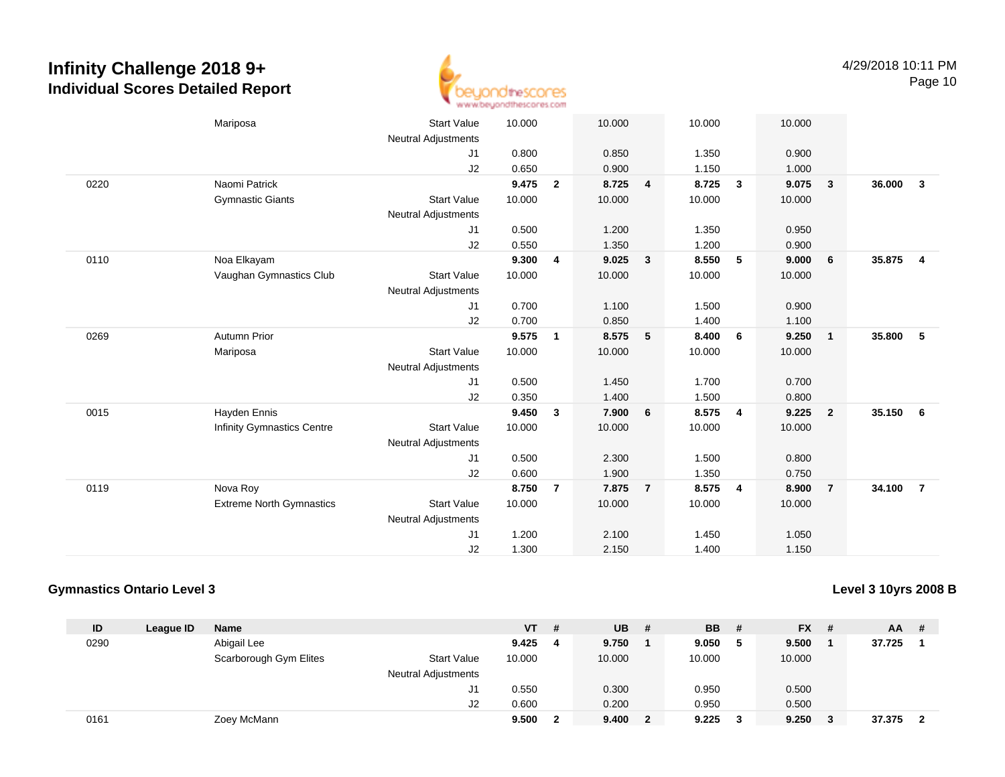

|      | Mariposa                          | <b>Start Value</b>         | 10.000 |                | 10.000 |                | 10.000 |                | 10.000 |                         |        |                         |
|------|-----------------------------------|----------------------------|--------|----------------|--------|----------------|--------|----------------|--------|-------------------------|--------|-------------------------|
|      |                                   | <b>Neutral Adjustments</b> |        |                |        |                |        |                |        |                         |        |                         |
|      |                                   | J1                         | 0.800  |                | 0.850  |                | 1.350  |                | 0.900  |                         |        |                         |
|      |                                   | J2                         | 0.650  |                | 0.900  |                | 1.150  |                | 1.000  |                         |        |                         |
| 0220 | Naomi Patrick                     |                            | 9.475  | $\overline{2}$ | 8.725  | 4              | 8.725  | $\mathbf{3}$   | 9.075  | $\overline{\mathbf{3}}$ | 36.000 | $\mathbf{3}$            |
|      | <b>Gymnastic Giants</b>           | <b>Start Value</b>         | 10.000 |                | 10.000 |                | 10.000 |                | 10.000 |                         |        |                         |
|      |                                   | <b>Neutral Adjustments</b> |        |                |        |                |        |                |        |                         |        |                         |
|      |                                   | J1                         | 0.500  |                | 1.200  |                | 1.350  |                | 0.950  |                         |        |                         |
|      |                                   | J2                         | 0.550  |                | 1.350  |                | 1.200  |                | 0.900  |                         |        |                         |
| 0110 | Noa Elkayam                       |                            | 9.300  | 4              | 9.025  | $\mathbf{3}$   | 8.550  | 5              | 9.000  | 6                       | 35.875 | $\overline{\mathbf{4}}$ |
|      | Vaughan Gymnastics Club           | <b>Start Value</b>         | 10.000 |                | 10.000 |                | 10.000 |                | 10.000 |                         |        |                         |
|      |                                   | <b>Neutral Adjustments</b> |        |                |        |                |        |                |        |                         |        |                         |
|      |                                   | J1                         | 0.700  |                | 1.100  |                | 1.500  |                | 0.900  |                         |        |                         |
|      |                                   | J2                         | 0.700  |                | 0.850  |                | 1.400  |                | 1.100  |                         |        |                         |
| 0269 | <b>Autumn Prior</b>               |                            | 9.575  | $\mathbf{1}$   | 8.575  | $-5$           | 8.400  | 6              | 9.250  | $\overline{1}$          | 35.800 | 5                       |
|      | Mariposa                          | <b>Start Value</b>         | 10.000 |                | 10.000 |                | 10.000 |                | 10.000 |                         |        |                         |
|      |                                   | <b>Neutral Adjustments</b> |        |                |        |                |        |                |        |                         |        |                         |
|      |                                   | J1                         | 0.500  |                | 1.450  |                | 1.700  |                | 0.700  |                         |        |                         |
|      |                                   | J2                         | 0.350  |                | 1.400  |                | 1.500  |                | 0.800  |                         |        |                         |
| 0015 | Hayden Ennis                      |                            | 9.450  | $\mathbf{3}$   | 7.900  | 6              | 8.575  | 4              | 9.225  | $\overline{\mathbf{2}}$ | 35.150 | 6                       |
|      | <b>Infinity Gymnastics Centre</b> | <b>Start Value</b>         | 10.000 |                | 10.000 |                | 10.000 |                | 10.000 |                         |        |                         |
|      |                                   | <b>Neutral Adjustments</b> |        |                |        |                |        |                |        |                         |        |                         |
|      |                                   | J1                         | 0.500  |                | 2.300  |                | 1.500  |                | 0.800  |                         |        |                         |
|      |                                   | J2                         | 0.600  |                | 1.900  |                | 1.350  |                | 0.750  |                         |        |                         |
| 0119 | Nova Roy                          |                            | 8.750  | $\overline{7}$ | 7.875  | $\overline{7}$ | 8.575  | $\overline{4}$ | 8.900  | $\overline{7}$          | 34.100 | $\overline{7}$          |
|      | <b>Extreme North Gymnastics</b>   | <b>Start Value</b>         | 10.000 |                | 10.000 |                | 10.000 |                | 10.000 |                         |        |                         |
|      |                                   | <b>Neutral Adjustments</b> |        |                |        |                |        |                |        |                         |        |                         |
|      |                                   | J <sub>1</sub>             | 1.200  |                | 2.100  |                | 1.450  |                | 1.050  |                         |        |                         |
|      |                                   | J2                         | 1.300  |                | 2.150  |                | 1.400  |                | 1.150  |                         |        |                         |
|      |                                   |                            |        |                |        |                |        |                |        |                         |        |                         |

### **Gymnastics Ontario Level 3**

**Level 3 10yrs 2008 B**

| ID   | League ID | <b>Name</b>            |                            | $VT$ # |   | <b>UB</b> | -#           | <b>BB</b> | - # | <b>FX</b> | -#  | <b>AA</b> | # |
|------|-----------|------------------------|----------------------------|--------|---|-----------|--------------|-----------|-----|-----------|-----|-----------|---|
| 0290 |           | Abigail Lee            |                            | 9.425  | 4 | 9.750     |              | 9.050     | - 5 | 9.500     |     | 37.725    |   |
|      |           | Scarborough Gym Elites | <b>Start Value</b>         | 10.000 |   | 10.000    |              | 10.000    |     | 10.000    |     |           |   |
|      |           |                        | <b>Neutral Adjustments</b> |        |   |           |              |           |     |           |     |           |   |
|      |           |                        | J1                         | 0.550  |   | 0.300     |              | 0.950     |     | 0.500     |     |           |   |
|      |           |                        | J <sub>2</sub>             | 0.600  |   | 0.200     |              | 0.950     |     | 0.500     |     |           |   |
| 0161 |           | Zoey McMann            |                            | 9.500  | 2 | 9.400     | $\mathbf{2}$ | 9.225     |     | 9.250     | - 3 | 37.375    |   |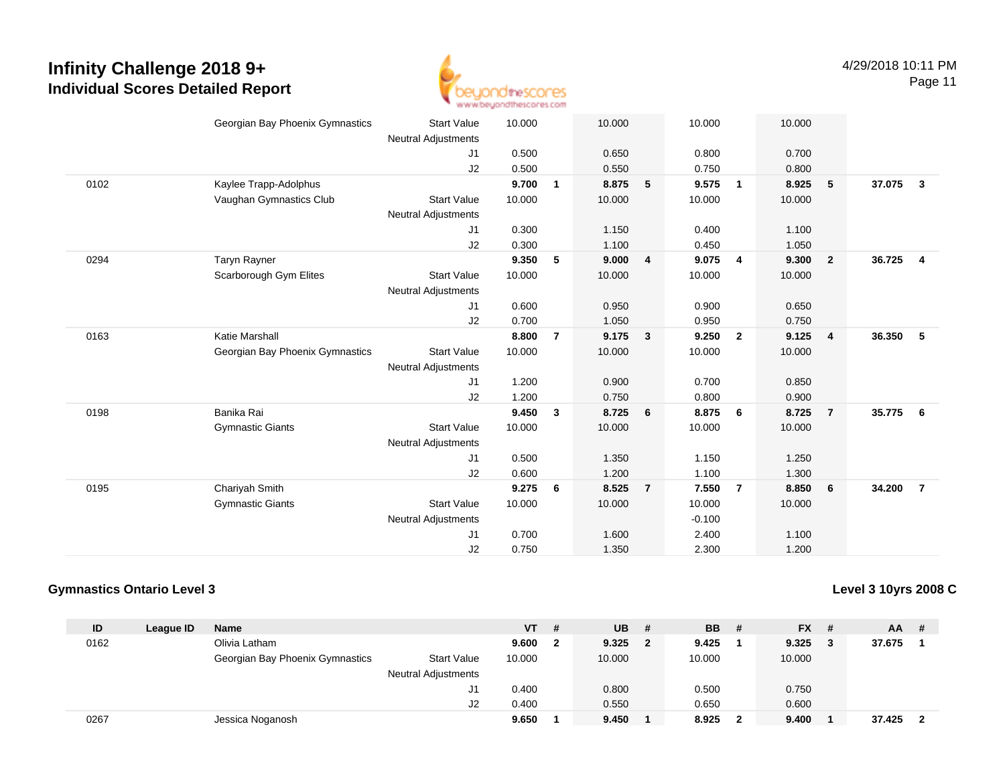

|      | Georgian Bay Phoenix Gymnastics | <b>Start Value</b><br><b>Neutral Adjustments</b> | 10.000 |                | 10.000 |                         | 10.000   |                | 10.000 |                         |        |                         |
|------|---------------------------------|--------------------------------------------------|--------|----------------|--------|-------------------------|----------|----------------|--------|-------------------------|--------|-------------------------|
|      |                                 | J1                                               | 0.500  |                | 0.650  |                         | 0.800    |                | 0.700  |                         |        |                         |
|      |                                 | J2                                               | 0.500  |                | 0.550  |                         | 0.750    |                | 0.800  |                         |        |                         |
| 0102 | Kaylee Trapp-Adolphus           |                                                  | 9.700  | $\mathbf{1}$   | 8.875  | 5                       | 9.575    | $\overline{1}$ | 8.925  | 5                       | 37.075 | $\overline{\mathbf{3}}$ |
|      | Vaughan Gymnastics Club         | <b>Start Value</b>                               | 10.000 |                | 10.000 |                         | 10.000   |                | 10.000 |                         |        |                         |
|      |                                 | <b>Neutral Adjustments</b>                       |        |                |        |                         |          |                |        |                         |        |                         |
|      |                                 | J <sub>1</sub>                                   | 0.300  |                | 1.150  |                         | 0.400    |                | 1.100  |                         |        |                         |
|      |                                 | J2                                               | 0.300  |                | 1.100  |                         | 0.450    |                | 1.050  |                         |        |                         |
| 0294 | <b>Taryn Rayner</b>             |                                                  | 9.350  | 5              | 9.000  | $\overline{\mathbf{4}}$ | 9.075    | $\overline{4}$ | 9.300  | $\overline{\mathbf{2}}$ | 36.725 | $\overline{4}$          |
|      | Scarborough Gym Elites          | <b>Start Value</b>                               | 10.000 |                | 10.000 |                         | 10.000   |                | 10.000 |                         |        |                         |
|      |                                 | <b>Neutral Adjustments</b>                       |        |                |        |                         |          |                |        |                         |        |                         |
|      |                                 | J <sub>1</sub>                                   | 0.600  |                | 0.950  |                         | 0.900    |                | 0.650  |                         |        |                         |
|      |                                 | J2                                               | 0.700  |                | 1.050  |                         | 0.950    |                | 0.750  |                         |        |                         |
| 0163 | Katie Marshall                  |                                                  | 8.800  | $\overline{7}$ | 9.175  | $\mathbf{3}$            | 9.250    | $\overline{2}$ | 9.125  | $\overline{4}$          | 36.350 | 5                       |
|      | Georgian Bay Phoenix Gymnastics | <b>Start Value</b>                               | 10.000 |                | 10.000 |                         | 10.000   |                | 10.000 |                         |        |                         |
|      |                                 | <b>Neutral Adjustments</b>                       |        |                |        |                         |          |                |        |                         |        |                         |
|      |                                 | J <sub>1</sub>                                   | 1.200  |                | 0.900  |                         | 0.700    |                | 0.850  |                         |        |                         |
|      |                                 | J2                                               | 1.200  |                | 0.750  |                         | 0.800    |                | 0.900  |                         |        |                         |
| 0198 | Banika Rai                      |                                                  | 9.450  | 3              | 8.725  | 6                       | 8.875    | 6              | 8.725  | $\overline{7}$          | 35.775 | - 6                     |
|      | <b>Gymnastic Giants</b>         | <b>Start Value</b>                               | 10.000 |                | 10.000 |                         | 10.000   |                | 10.000 |                         |        |                         |
|      |                                 | Neutral Adjustments                              |        |                |        |                         |          |                |        |                         |        |                         |
|      |                                 | J1                                               | 0.500  |                | 1.350  |                         | 1.150    |                | 1.250  |                         |        |                         |
|      |                                 | J2                                               | 0.600  |                | 1.200  |                         | 1.100    |                | 1.300  |                         |        |                         |
| 0195 | Chariyah Smith                  |                                                  | 9.275  | 6              | 8.525  | $\overline{7}$          | 7.550    | $\overline{7}$ | 8.850  | 6                       | 34.200 | $\overline{7}$          |
|      | <b>Gymnastic Giants</b>         | <b>Start Value</b>                               | 10.000 |                | 10.000 |                         | 10.000   |                | 10.000 |                         |        |                         |
|      |                                 | <b>Neutral Adjustments</b>                       |        |                |        |                         | $-0.100$ |                |        |                         |        |                         |
|      |                                 | J <sub>1</sub>                                   | 0.700  |                | 1.600  |                         | 2.400    |                | 1.100  |                         |        |                         |
|      |                                 | J <sub>2</sub>                                   | 0.750  |                | 1.350  |                         | 2.300    |                | 1.200  |                         |        |                         |

### **Gymnastics Ontario Level 3**

**Level 3 10yrs 2008 C**

| ID   | League ID | <b>Name</b>                     |                            | $VT$ # |   | <b>UB</b> | - # | <b>BB</b> | - # | <b>FX</b> | - # | <b>AA</b> | # |
|------|-----------|---------------------------------|----------------------------|--------|---|-----------|-----|-----------|-----|-----------|-----|-----------|---|
| 0162 |           | Olivia Latham                   |                            | 9.600  | 2 | 9.325     | 2   | 9.425     |     | 9.325     |     | 37.675    |   |
|      |           | Georgian Bay Phoenix Gymnastics | <b>Start Value</b>         | 10.000 |   | 10.000    |     | 10.000    |     | 10.000    |     |           |   |
|      |           |                                 | <b>Neutral Adjustments</b> |        |   |           |     |           |     |           |     |           |   |
|      |           |                                 | J1                         | 0.400  |   | 0.800     |     | 0.500     |     | 0.750     |     |           |   |
|      |           |                                 | J2                         | 0.400  |   | 0.550     |     | 0.650     |     | 0.600     |     |           |   |
| 0267 |           | Jessica Noganosh                |                            | 9.650  |   | 9.450     |     | 8.925     |     | 9.400     |     | 37.425    |   |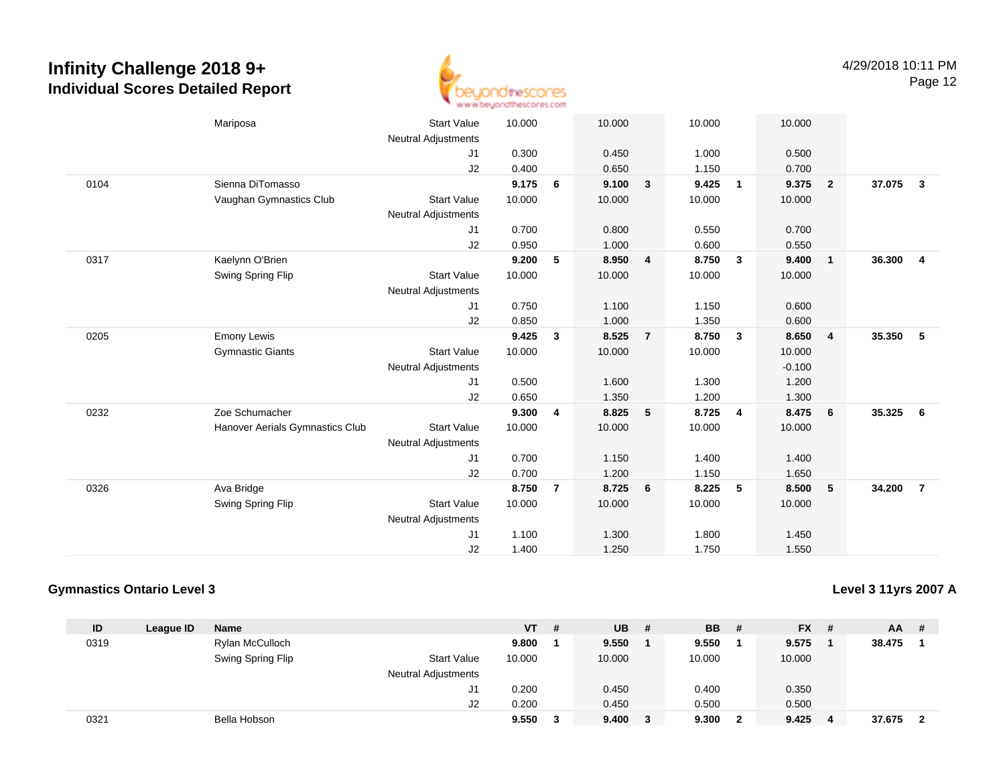

|      | Mariposa                        | <b>Start Value</b>         | 10.000 |                | 10.000 |                | 10.000 |                | 10.000   |                         |        |                         |
|------|---------------------------------|----------------------------|--------|----------------|--------|----------------|--------|----------------|----------|-------------------------|--------|-------------------------|
|      |                                 | <b>Neutral Adjustments</b> |        |                |        |                |        |                |          |                         |        |                         |
|      |                                 | J1                         | 0.300  |                | 0.450  |                | 1.000  |                | 0.500    |                         |        |                         |
|      |                                 | J2                         | 0.400  |                | 0.650  |                | 1.150  |                | 0.700    |                         |        |                         |
| 0104 | Sienna DiTomasso                |                            | 9.175  | 6              | 9.100  | $\mathbf{3}$   | 9.425  | $\overline{1}$ | 9.375    | $\overline{\mathbf{2}}$ | 37.075 | $\overline{\mathbf{3}}$ |
|      | Vaughan Gymnastics Club         | <b>Start Value</b>         | 10.000 |                | 10.000 |                | 10.000 |                | 10.000   |                         |        |                         |
|      |                                 | <b>Neutral Adjustments</b> |        |                |        |                |        |                |          |                         |        |                         |
|      |                                 | J1                         | 0.700  |                | 0.800  |                | 0.550  |                | 0.700    |                         |        |                         |
|      |                                 | J2                         | 0.950  |                | 1.000  |                | 0.600  |                | 0.550    |                         |        |                         |
| 0317 | Kaelynn O'Brien                 |                            | 9.200  | 5              | 8.950  | $\overline{4}$ | 8.750  | $\mathbf{3}$   | 9.400    | $\overline{1}$          | 36.300 | $\overline{4}$          |
|      | Swing Spring Flip               | <b>Start Value</b>         | 10.000 |                | 10.000 |                | 10.000 |                | 10.000   |                         |        |                         |
|      |                                 | <b>Neutral Adjustments</b> |        |                |        |                |        |                |          |                         |        |                         |
|      |                                 | J1                         | 0.750  |                | 1.100  |                | 1.150  |                | 0.600    |                         |        |                         |
|      |                                 | J2                         | 0.850  |                | 1.000  |                | 1.350  |                | 0.600    |                         |        |                         |
| 0205 | <b>Emony Lewis</b>              |                            | 9.425  | $\mathbf{3}$   | 8.525  | $\overline{7}$ | 8.750  | $\mathbf{3}$   | 8.650    | $\overline{4}$          | 35.350 | - 5                     |
|      | <b>Gymnastic Giants</b>         | <b>Start Value</b>         | 10.000 |                | 10.000 |                | 10.000 |                | 10.000   |                         |        |                         |
|      |                                 | <b>Neutral Adjustments</b> |        |                |        |                |        |                | $-0.100$ |                         |        |                         |
|      |                                 | J1                         | 0.500  |                | 1.600  |                | 1.300  |                | 1.200    |                         |        |                         |
|      |                                 | J2                         | 0.650  |                | 1.350  |                | 1.200  |                | 1.300    |                         |        |                         |
| 0232 | Zoe Schumacher                  |                            | 9.300  | 4              | 8.825  | 5              | 8.725  | 4              | 8.475    | 6                       | 35.325 | - 6                     |
|      | Hanover Aerials Gymnastics Club | <b>Start Value</b>         | 10.000 |                | 10.000 |                | 10.000 |                | 10.000   |                         |        |                         |
|      |                                 | Neutral Adjustments        |        |                |        |                |        |                |          |                         |        |                         |
|      |                                 | J1                         | 0.700  |                | 1.150  |                | 1.400  |                | 1.400    |                         |        |                         |
|      |                                 | J2                         | 0.700  |                | 1.200  |                | 1.150  |                | 1.650    |                         |        |                         |
| 0326 | Ava Bridge                      |                            | 8.750  | $\overline{7}$ | 8.725  | 6              | 8.225  | 5              | 8.500    | 5                       | 34.200 | $\overline{7}$          |
|      | Swing Spring Flip               | <b>Start Value</b>         | 10.000 |                | 10.000 |                | 10.000 |                | 10.000   |                         |        |                         |
|      |                                 | <b>Neutral Adjustments</b> |        |                |        |                |        |                |          |                         |        |                         |
|      |                                 | J1                         | 1.100  |                | 1.300  |                | 1.800  |                | 1.450    |                         |        |                         |
|      |                                 | J2                         | 1.400  |                | 1.250  |                | 1.750  |                | 1.550    |                         |        |                         |
|      |                                 |                            |        |                |        |                |        |                |          |                         |        |                         |

### **Gymnastics Ontario Level 3**

**Level 3 11yrs 2007 A**

| ID   | League ID | <b>Name</b>       |                            | $VT$ # |   | <b>UB</b> | -# | <b>BB</b> | - #            | <b>FX</b> | -# | <b>AA</b> | # |
|------|-----------|-------------------|----------------------------|--------|---|-----------|----|-----------|----------------|-----------|----|-----------|---|
| 0319 |           | Rylan McCulloch   |                            | 9.800  |   | 9.550     |    | 9.550     |                | 9.575     |    | 38.475    |   |
|      |           | Swing Spring Flip | <b>Start Value</b>         | 10.000 |   | 10.000    |    | 10.000    |                | 10.000    |    |           |   |
|      |           |                   | <b>Neutral Adjustments</b> |        |   |           |    |           |                |           |    |           |   |
|      |           |                   | J1                         | 0.200  |   | 0.450     |    | 0.400     |                | 0.350     |    |           |   |
|      |           |                   | J <sub>2</sub>             | 0.200  |   | 0.450     |    | 0.500     |                | 0.500     |    |           |   |
| 0321 |           | Bella Hobson      |                            | 9.550  | 3 | 9.400     | 3  | 9.300     | $\overline{2}$ | 9.425     | -4 | 37.675    |   |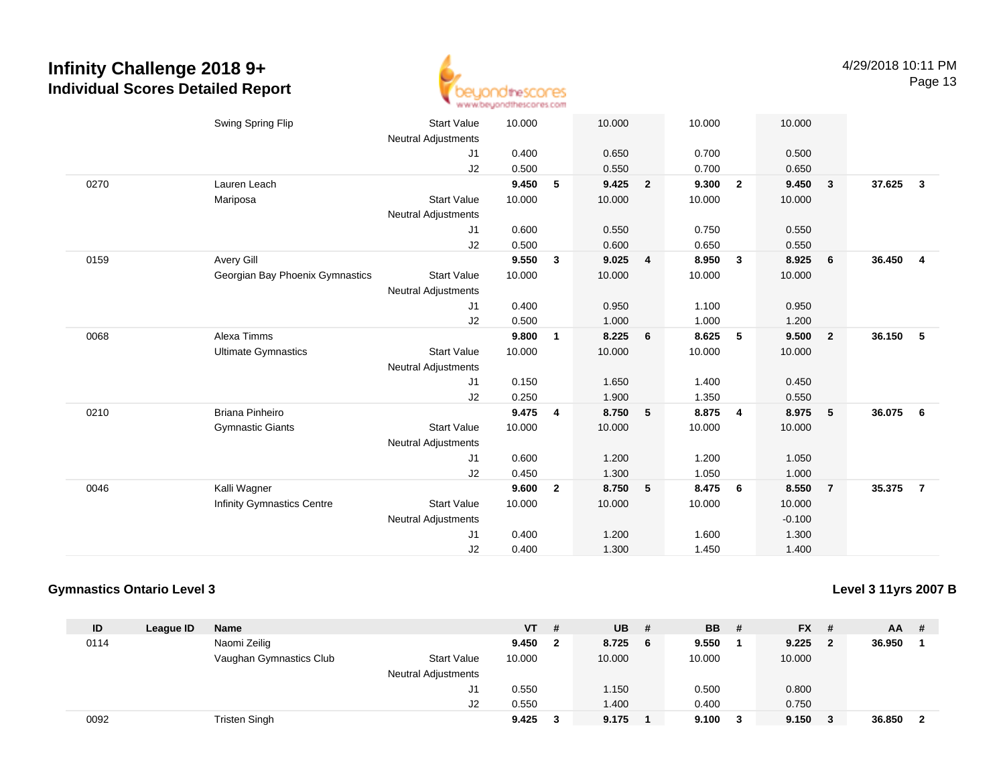

|      | Swing Spring Flip                 | <b>Start Value</b><br><b>Neutral Adjustments</b> | 10.000 |                | 10.000 |                | 10.000 |                | 10.000   |                         |        |                         |
|------|-----------------------------------|--------------------------------------------------|--------|----------------|--------|----------------|--------|----------------|----------|-------------------------|--------|-------------------------|
|      |                                   | J1                                               | 0.400  |                | 0.650  |                | 0.700  |                | 0.500    |                         |        |                         |
|      |                                   | J2                                               | 0.500  |                | 0.550  |                | 0.700  |                | 0.650    |                         |        |                         |
| 0270 | Lauren Leach                      |                                                  | 9.450  | 5              | 9.425  | $\overline{2}$ | 9.300  | $\overline{2}$ | 9.450    | $\mathbf{3}$            | 37.625 | $\overline{\mathbf{3}}$ |
|      | Mariposa                          | <b>Start Value</b>                               | 10.000 |                | 10.000 |                | 10.000 |                | 10.000   |                         |        |                         |
|      |                                   | <b>Neutral Adjustments</b>                       |        |                |        |                |        |                |          |                         |        |                         |
|      |                                   | J1                                               | 0.600  |                | 0.550  |                | 0.750  |                | 0.550    |                         |        |                         |
|      |                                   | J2                                               | 0.500  |                | 0.600  |                | 0.650  |                | 0.550    |                         |        |                         |
| 0159 | Avery Gill                        |                                                  | 9.550  | $\mathbf{3}$   | 9.025  | $\overline{4}$ | 8.950  | $\mathbf{3}$   | 8.925    | 6                       | 36.450 | $\overline{4}$          |
|      | Georgian Bay Phoenix Gymnastics   | <b>Start Value</b>                               | 10.000 |                | 10.000 |                | 10.000 |                | 10.000   |                         |        |                         |
|      |                                   | <b>Neutral Adjustments</b>                       |        |                |        |                |        |                |          |                         |        |                         |
|      |                                   | J1                                               | 0.400  |                | 0.950  |                | 1.100  |                | 0.950    |                         |        |                         |
|      |                                   | J2                                               | 0.500  |                | 1.000  |                | 1.000  |                | 1.200    |                         |        |                         |
| 0068 | Alexa Timms                       |                                                  | 9.800  | $\mathbf{1}$   | 8.225  | 6              | 8.625  | 5              | 9.500    | $\overline{\mathbf{2}}$ | 36.150 | $-5$                    |
|      | <b>Ultimate Gymnastics</b>        | <b>Start Value</b>                               | 10.000 |                | 10.000 |                | 10.000 |                | 10.000   |                         |        |                         |
|      |                                   | <b>Neutral Adjustments</b>                       |        |                |        |                |        |                |          |                         |        |                         |
|      |                                   | J1                                               | 0.150  |                | 1.650  |                | 1.400  |                | 0.450    |                         |        |                         |
|      |                                   | J2                                               | 0.250  |                | 1.900  |                | 1.350  |                | 0.550    |                         |        |                         |
| 0210 | Briana Pinheiro                   |                                                  | 9.475  | 4              | 8.750  | 5              | 8.875  | $\overline{4}$ | 8.975    | $-5$                    | 36.075 | 6                       |
|      | <b>Gymnastic Giants</b>           | <b>Start Value</b>                               | 10.000 |                | 10.000 |                | 10.000 |                | 10.000   |                         |        |                         |
|      |                                   | <b>Neutral Adjustments</b>                       |        |                |        |                |        |                |          |                         |        |                         |
|      |                                   | J1                                               | 0.600  |                | 1.200  |                | 1.200  |                | 1.050    |                         |        |                         |
|      |                                   | J2                                               | 0.450  |                | 1.300  |                | 1.050  |                | 1.000    |                         |        |                         |
| 0046 | Kalli Wagner                      |                                                  | 9.600  | $\overline{2}$ | 8.750  | 5              | 8.475  | 6              | 8.550    | $\overline{7}$          | 35.375 | $\overline{7}$          |
|      | <b>Infinity Gymnastics Centre</b> | <b>Start Value</b>                               | 10.000 |                | 10.000 |                | 10.000 |                | 10.000   |                         |        |                         |
|      |                                   | <b>Neutral Adjustments</b>                       |        |                |        |                |        |                | $-0.100$ |                         |        |                         |
|      |                                   | J <sub>1</sub>                                   | 0.400  |                | 1.200  |                | 1.600  |                | 1.300    |                         |        |                         |
|      |                                   | J2                                               | 0.400  |                | 1.300  |                | 1.450  |                | 1.400    |                         |        |                         |

### **Gymnastics Ontario Level 3**

**Level 3 11yrs 2007 B**

| ID   | League ID | <b>Name</b>             |                            | VT 1   | # | <b>UB</b> | - # | <b>BB</b> | - #                     | <b>FX</b> | - #                     | AA.    | # |
|------|-----------|-------------------------|----------------------------|--------|---|-----------|-----|-----------|-------------------------|-----------|-------------------------|--------|---|
| 0114 |           | Naomi Zeilig            |                            | 9.450  | 2 | 8.725     | 6   | 9.550     |                         | 9.225     | $\overline{\mathbf{2}}$ | 36.950 |   |
|      |           | Vaughan Gymnastics Club | <b>Start Value</b>         | 10.000 |   | 10.000    |     | 10.000    |                         | 10.000    |                         |        |   |
|      |           |                         | <b>Neutral Adjustments</b> |        |   |           |     |           |                         |           |                         |        |   |
|      |           |                         | J1                         | 0.550  |   | 1.150     |     | 0.500     |                         | 0.800     |                         |        |   |
|      |           |                         | J2                         | 0.550  |   | 1.400     |     | 0.400     |                         | 0.750     |                         |        |   |
| 0092 |           | <b>Tristen Singh</b>    |                            | 9.425  |   | 9.175     |     | 9.100     | $\overline{\mathbf{3}}$ | 9.150     | - 3                     | 36.850 |   |